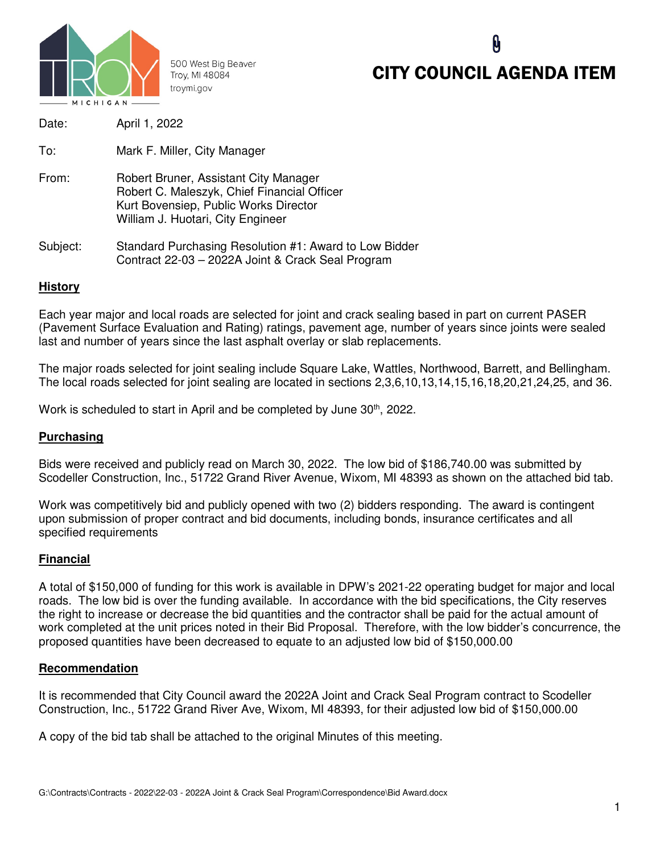

500 West Big Beaver Troy, MI 48084 troymi.gov

# CITY COUNCIL AGENDA ITEM

| Date:    | April 1, 2022                                                                                                                                                      |
|----------|--------------------------------------------------------------------------------------------------------------------------------------------------------------------|
| To:      | Mark F. Miller, City Manager                                                                                                                                       |
| From:    | Robert Bruner, Assistant City Manager<br>Robert C. Maleszyk, Chief Financial Officer<br>Kurt Bovensiep, Public Works Director<br>William J. Huotari, City Engineer |
| Subject: | Standard Purchasing Resolution #1: Award to Low Bidder<br>Contract 22-03 - 2022A Joint & Crack Seal Program                                                        |

### **History**

Each year major and local roads are selected for joint and crack sealing based in part on current PASER (Pavement Surface Evaluation and Rating) ratings, pavement age, number of years since joints were sealed last and number of years since the last asphalt overlay or slab replacements.

The major roads selected for joint sealing include Square Lake, Wattles, Northwood, Barrett, and Bellingham. The local roads selected for joint sealing are located in sections 2,3,6,10,13,14,15,16,18,20,21,24,25, and 36.

Work is scheduled to start in April and be completed by June 30<sup>th</sup>, 2022.

#### **Purchasing**

Bids were received and publicly read on March 30, 2022. The low bid of \$186,740.00 was submitted by Scodeller Construction, Inc., 51722 Grand River Avenue, Wixom, MI 48393 as shown on the attached bid tab.

Work was competitively bid and publicly opened with two (2) bidders responding. The award is contingent upon submission of proper contract and bid documents, including bonds, insurance certificates and all specified requirements

#### **Financial**

A total of \$150,000 of funding for this work is available in DPW's 2021-22 operating budget for major and local roads. The low bid is over the funding available. In accordance with the bid specifications, the City reserves the right to increase or decrease the bid quantities and the contractor shall be paid for the actual amount of work completed at the unit prices noted in their Bid Proposal. Therefore, with the low bidder's concurrence, the proposed quantities have been decreased to equate to an adjusted low bid of \$150,000.00

#### **Recommendation**

It is recommended that City Council award the 2022A Joint and Crack Seal Program contract to Scodeller Construction, Inc., 51722 Grand River Ave, Wixom, MI 48393, for their adjusted low bid of \$150,000.00

A copy of the bid tab shall be attached to the original Minutes of this meeting.